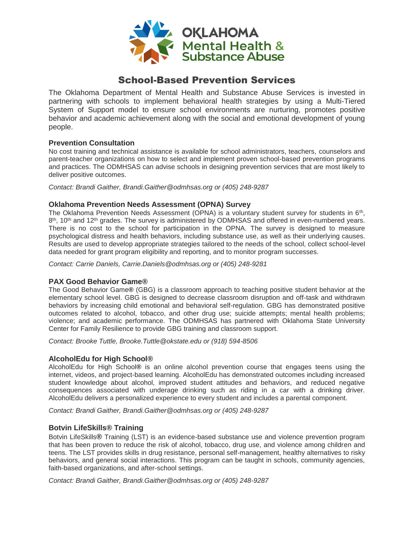

# School-Based Prevention Services

The Oklahoma Department of Mental Health and Substance Abuse Services is invested in partnering with schools to implement behavioral health strategies by using a Multi-Tiered System of Support model to ensure school environments are nurturing, promotes positive behavior and academic achievement along with the social and emotional development of young people.

#### **Prevention Consultation**

No cost training and technical assistance is available for school administrators, teachers, counselors and parent-teacher organizations on how to select and implement proven school-based prevention programs and practices. The ODMHSAS can advise schools in designing prevention services that are most likely to deliver positive outcomes.

*Contact: Brandi Gaither, Brandi.Gaither@odmhsas.org or (405) 248-9287*

# **Oklahoma Prevention Needs Assessment (OPNA) Survey**

The Oklahoma Prevention Needs Assessment (OPNA) is a voluntary student survey for students in 6<sup>th</sup>, 8<sup>th</sup>, 10<sup>th</sup> and 12<sup>th</sup> grades. The survey is administered by ODMHSAS and offered in even-numbered years. There is no cost to the school for participation in the OPNA. The survey is designed to measure psychological distress and health behaviors, including substance use, as well as their underlying causes. Results are used to develop appropriate strategies tailored to the needs of the school, collect school-level data needed for grant program eligibility and reporting, and to monitor program successes.

*Contact: Carrie Daniels, Carrie.Daniels@odmhsas.org or (405) 248-9281*

#### **PAX Good Behavior Game®**

The Good Behavior Game**®** (GBG) is a classroom approach to teaching positive student behavior at the elementary school level. GBG is designed to decrease classroom disruption and off-task and withdrawn behaviors by increasing child emotional and behavioral self-regulation. GBG has demonstrated positive outcomes related to alcohol, tobacco, and other drug use; suicide attempts; mental health problems; violence; and academic performance. The ODMHSAS has partnered with Oklahoma State University Center for Family Resilience to provide GBG training and classroom support.

*Contact: Brooke Tuttle, Brooke.Tuttle@okstate.edu or (918) 594-8506*

#### **AlcoholEdu for High School®**

AlcoholEdu for High School**®** is an online alcohol prevention course that engages teens using the internet, videos, and project-based learning. AlcoholEdu has demonstrated outcomes including increased student knowledge about alcohol, improved student attitudes and behaviors, and reduced negative consequences associated with underage drinking such as riding in a car with a drinking driver. AlcoholEdu delivers a personalized experience to every student and includes a parental component.

*Contact: Brandi Gaither, Brandi.Gaither@odmhsas.org or (405) 248-9287*

# **Botvin LifeSkills® Training**

Botvin LifeSkills**®** Training (LST) is an evidence-based substance use and violence prevention program that has been proven to reduce the risk of alcohol, tobacco, drug use, and violence among children and teens. The LST provides skills in drug resistance, personal self-management, healthy alternatives to risky behaviors, and general social interactions. This program can be taught in schools, community agencies, faith-based organizations, and after-school settings.

*Contact: Brandi Gaither, Brandi.Gaither@odmhsas.org or (405) 248-9287*